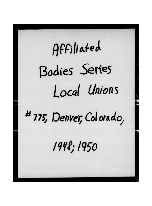## Affiliated Bodies Series Local Unions

## #775, Denver, Colorado,

1948; 1950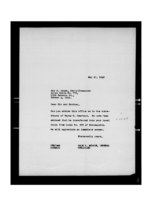May 27, 1948

 $5$ "

 $5 - 25.48$ 

Ray E. Bowen, Sec'y-Treasurer Local Union No. 775. 1356 Bannock St., Denver 4, Colo.

Dear Sir and Brother,

Can you advise this office as to the whereabouts of Wayne H. Swartout. We have been advised that he transferred into your Local Union from Local No. 958 of Minneapolis. We will appreciate an immediate answer.

Fraternally yours,

G**FM/***A***Mb** AIRMAIL

AUDIO

**DO YOU** 

GALE t. MURRIN, **GENERAL**  OHOAXIZER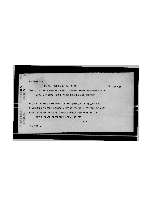